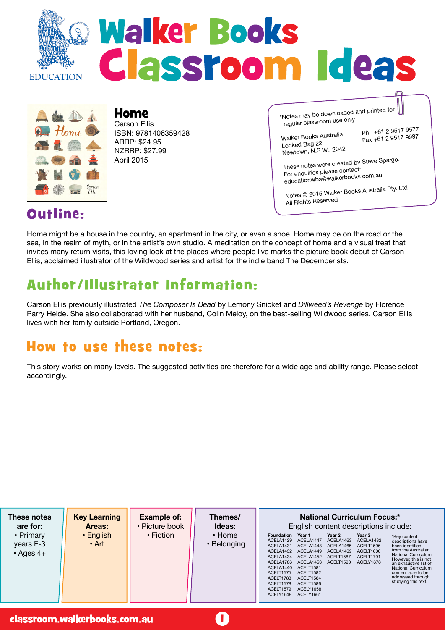



#### Home Carson Ellis ISBN: 9781406359428 ARRP: \$24.95 NZRRP: \$27.99 April 2015

\*Notes may be downloaded and printed for regular classroom use only.

Walker Books Australia Ph +61 2 9517 9577<br>Locked Bag 22 1961 12 9517 9997 Newtown, N.S.W., 2042

Fax +61 2 9517 9997

These notes were created by Steve Spargo. For enquiries please contact: educationwba@walkerbooks.com.au

Notes © 2015 Walker Books Australia Pty. Ltd. All Rights Reserve<sup>d</sup>

### Outline:

Home might be a house in the country, an apartment in the city, or even a shoe. Home may be on the road or the sea, in the realm of myth, or in the artist's own studio. A meditation on the concept of home and a visual treat that invites many return visits, this loving look at the places where people live marks the picture book debut of Carson Ellis, acclaimed illustrator of the Wildwood series and artist for the indie band The Decemberists.

# Author/Illustrator Information:

Carson Ellis previously illustrated *The Composer Is Dead* by Lemony Snicket and *Dillweed's Revenge* by Florence Parry Heide. She also collaborated with her husband, Colin Meloy, on the best-selling Wildwood series. Carson Ellis lives with her family outside Portland, Oregon.

### How to use these notes:

This story works on many levels. The suggested activities are therefore for a wide age and ability range. Please select accordingly.